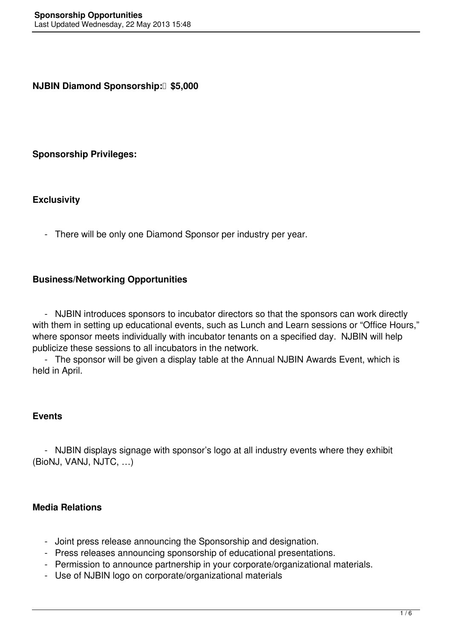**NJBIN Diamond Sponsorship: 35,000** 

#### **Sponsorship Privileges:**

#### **Exclusivity**

- There will be only one Diamond Sponsor per industry per year.

#### **Business/Networking Opportunities**

 - NJBIN introduces sponsors to incubator directors so that the sponsors can work directly with them in setting up educational events, such as Lunch and Learn sessions or "Office Hours," where sponsor meets individually with incubator tenants on a specified day. NJBIN will help publicize these sessions to all incubators in the network.

 - The sponsor will be given a display table at the Annual NJBIN Awards Event, which is held in April.

#### **Events**

 - NJBIN displays signage with sponsor's logo at all industry events where they exhibit (BioNJ, VANJ, NJTC, …)

## **Media Relations**

- Joint press release announcing the Sponsorship and designation.
- Press releases announcing sponsorship of educational presentations.
- Permission to announce partnership in your corporate/organizational materials.
- Use of NJBIN logo on corporate/organizational materials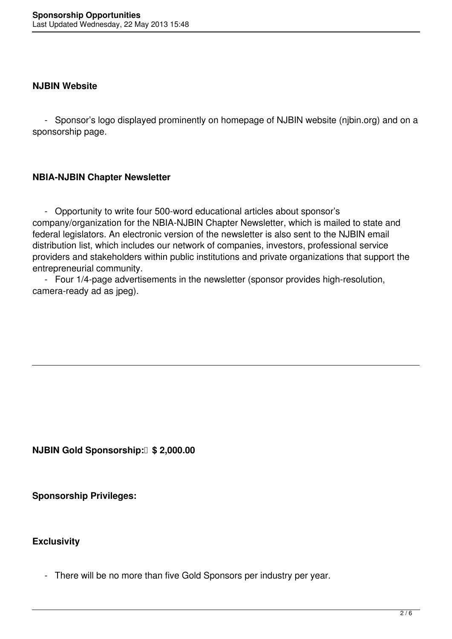#### **NJBIN Website**

 - Sponsor's logo displayed prominently on homepage of NJBIN website (njbin.org) and on a sponsorship page.

## **NBIA-NJBIN Chapter Newsletter**

 - Opportunity to write four 500-word educational articles about sponsor's company/organization for the NBIA-NJBIN Chapter Newsletter, which is mailed to state and federal legislators. An electronic version of the newsletter is also sent to the NJBIN email distribution list, which includes our network of companies, investors, professional service providers and stakeholders within public institutions and private organizations that support the entrepreneurial community.

 - Four 1/4-page advertisements in the newsletter (sponsor provides high-resolution, camera-ready ad as jpeg).

**NJBIN Gold Sponsorship: \$2,000.00** 

**Sponsorship Privileges:**

# **Exclusivity**

- There will be no more than five Gold Sponsors per industry per year.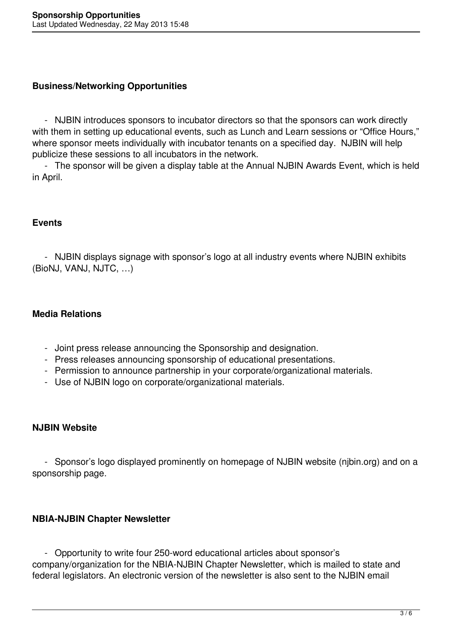## **Business/Networking Opportunities**

 - NJBIN introduces sponsors to incubator directors so that the sponsors can work directly with them in setting up educational events, such as Lunch and Learn sessions or "Office Hours," where sponsor meets individually with incubator tenants on a specified day. NJBIN will help publicize these sessions to all incubators in the network.

 - The sponsor will be given a display table at the Annual NJBIN Awards Event, which is held in April.

## **Events**

 - NJBIN displays signage with sponsor's logo at all industry events where NJBIN exhibits (BioNJ, VANJ, NJTC, …)

# **Media Relations**

- Joint press release announcing the Sponsorship and designation.
- Press releases announcing sponsorship of educational presentations.
- Permission to announce partnership in your corporate/organizational materials.
- Use of NJBIN logo on corporate/organizational materials.

## **NJBIN Website**

 - Sponsor's logo displayed prominently on homepage of NJBIN website (njbin.org) and on a sponsorship page.

# **NBIA-NJBIN Chapter Newsletter**

 - Opportunity to write four 250-word educational articles about sponsor's company/organization for the NBIA-NJBIN Chapter Newsletter, which is mailed to state and federal legislators. An electronic version of the newsletter is also sent to the NJBIN email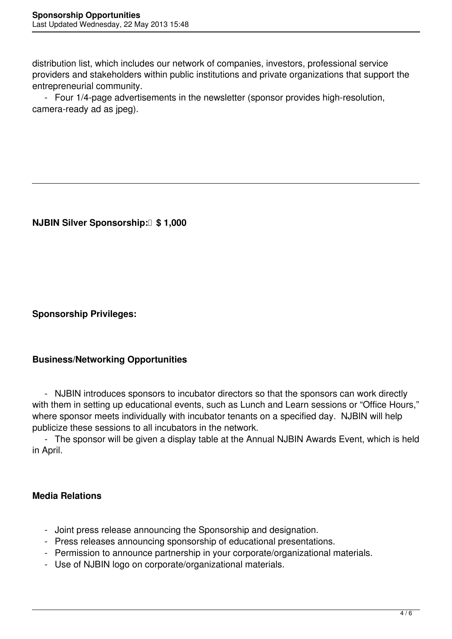distribution list, which includes our network of companies, investors, professional service providers and stakeholders within public institutions and private organizations that support the entrepreneurial community.

 - Four 1/4-page advertisements in the newsletter (sponsor provides high-resolution, camera-ready ad as jpeg).

**NJBIN Silver Sponsorship: \$ 1,000** 

**Sponsorship Privileges:**

# **Business/Networking Opportunities**

 - NJBIN introduces sponsors to incubator directors so that the sponsors can work directly with them in setting up educational events, such as Lunch and Learn sessions or "Office Hours," where sponsor meets individually with incubator tenants on a specified day. NJBIN will help publicize these sessions to all incubators in the network.

 - The sponsor will be given a display table at the Annual NJBIN Awards Event, which is held in April.

## **Media Relations**

- Joint press release announcing the Sponsorship and designation.
- Press releases announcing sponsorship of educational presentations.
- Permission to announce partnership in your corporate/organizational materials.
- Use of NJBIN logo on corporate/organizational materials.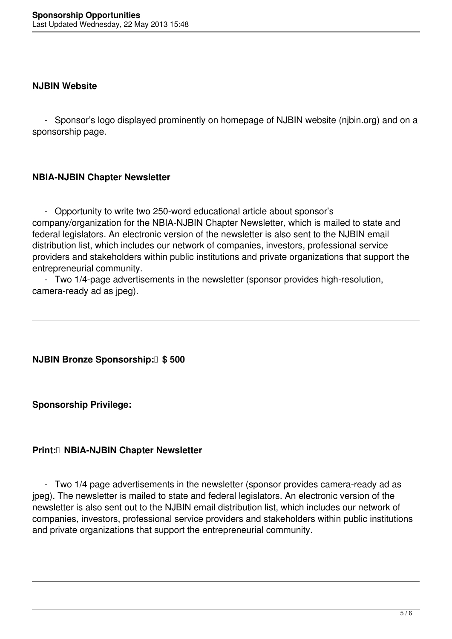#### **NJBIN Website**

 - Sponsor's logo displayed prominently on homepage of NJBIN website (njbin.org) and on a sponsorship page.

## **NBIA-NJBIN Chapter Newsletter**

 - Opportunity to write two 250-word educational article about sponsor's company/organization for the NBIA-NJBIN Chapter Newsletter, which is mailed to state and federal legislators. An electronic version of the newsletter is also sent to the NJBIN email distribution list, which includes our network of companies, investors, professional service providers and stakeholders within public institutions and private organizations that support the entrepreneurial community.

 - Two 1/4-page advertisements in the newsletter (sponsor provides high-resolution, camera-ready ad as jpeg).

## **NJBIN Bronze Sponsorship: \$ 500**

**Sponsorship Privilege:**

## **Print: NBIA-NJBIN Chapter Newsletter**

 - Two 1/4 page advertisements in the newsletter (sponsor provides camera-ready ad as jpeg). The newsletter is mailed to state and federal legislators. An electronic version of the newsletter is also sent out to the NJBIN email distribution list, which includes our network of companies, investors, professional service providers and stakeholders within public institutions and private organizations that support the entrepreneurial community.